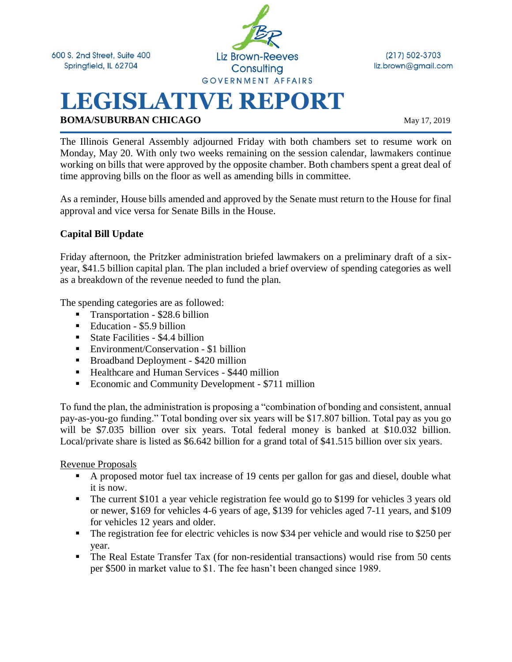

 $(217) 502 - 3703$ liz.brown@gmail.com

# **LEGISLATIVE REPORT BOMA/SUBURBAN CHICAGO** May 17, 2019

The Illinois General Assembly adjourned Friday with both chambers set to resume work on Monday, May 20. With only two weeks remaining on the session calendar, lawmakers continue working on bills that were approved by the opposite chamber. Both chambers spent a great deal of time approving bills on the floor as well as amending bills in committee.

As a reminder, House bills amended and approved by the Senate must return to the House for final approval and vice versa for Senate Bills in the House.

#### **Capital Bill Update**

Friday afternoon, the Pritzker administration briefed lawmakers on a preliminary draft of a sixyear, \$41.5 billion capital plan. The plan included a brief overview of spending categories as well as a breakdown of the revenue needed to fund the plan.

The spending categories are as followed:

- Transportation \$28.6 billion
- Education \$5.9 billion
- $\blacksquare$  State Facilities \$4.4 billion
- Environment/Conservation \$1 billion
- Broadband Deployment \$420 million
- Healthcare and Human Services \$440 million
- Economic and Community Development \$711 million

To fund the plan, the administration is proposing a "combination of bonding and consistent, annual pay-as-you-go funding." Total bonding over six years will be \$17.807 billion. Total pay as you go will be \$7.035 billion over six years. Total federal money is banked at \$10.032 billion. Local/private share is listed as \$6.642 billion for a grand total of \$41.515 billion over six years.

Revenue Proposals

- A proposed motor fuel tax increase of 19 cents per gallon for gas and diesel, double what it is now.
- The current \$101 a year vehicle registration fee would go to \$199 for vehicles 3 years old or newer, \$169 for vehicles 4-6 years of age, \$139 for vehicles aged 7-11 years, and \$109 for vehicles 12 years and older.
- The registration fee for electric vehicles is now \$34 per vehicle and would rise to \$250 per year.
- The Real Estate Transfer Tax (for non-residential transactions) would rise from 50 cents per \$500 in market value to \$1. The fee hasn't been changed since 1989.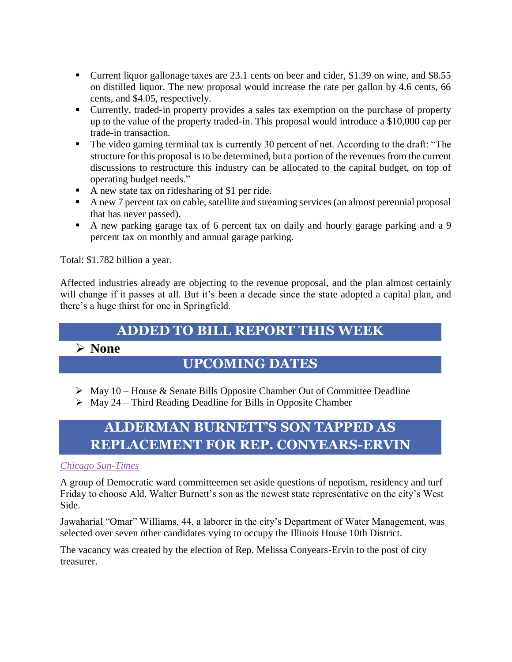- Current liquor gallonage taxes are 23.1 cents on beer and cider, \$1.39 on wine, and \$8.55 on distilled liquor. The new proposal would increase the rate per gallon by 4.6 cents, 66 cents, and \$4.05, respectively.
- Currently, traded-in property provides a sales tax exemption on the purchase of property up to the value of the property traded-in. This proposal would introduce a \$10,000 cap per trade-in transaction.
- The video gaming terminal tax is currently 30 percent of net. According to the draft: "The structure for this proposal is to be determined, but a portion of the revenues from the current discussions to restructure this industry can be allocated to the capital budget, on top of operating budget needs."
- A new state tax on ridesharing of \$1 per ride.
- A new 7 percent tax on cable, satellite and streaming services (an almost perennial proposal that has never passed).
- A new parking garage tax of 6 percent tax on daily and hourly garage parking and a 9 percent tax on monthly and annual garage parking.

Total: \$1.782 billion a year.

Affected industries already are objecting to the revenue proposal, and the plan almost certainly will change if it passes at all. But it's been a decade since the state adopted a capital plan, and there's a huge thirst for one in Springfield.

### **ADDED TO BILL REPORT THIS WEEK**

#### ➢ **None**

### **UPCOMING DATES**

- ➢ May 10 House & Senate Bills Opposite Chamber Out of Committee Deadline
- $\triangleright$  May 24 Third Reading Deadline for Bills in Opposite Chamber

## **ALDERMAN BURNETT'S SON TAPPED AS REPLACEMENT FOR REP. CONYEARS-ERVIN**

#### *[Chicago Sun-Times](https://chicago.suntimes.com/2019/5/17/18629957/democratic-ward-bosses-walter-burnetts-son-city-treasurer-melissa-conyears-ervins-house-seat)*

A group of Democratic ward committeemen set aside questions of nepotism, residency and turf Friday to choose Ald. Walter Burnett's son as the newest state representative on the city's West Side.

Jawaharial "Omar" Williams, 44, a laborer in the city's Department of Water Management, was selected over seven other candidates vying to occupy the Illinois House 10th District.

The vacancy was created by the election of Rep. Melissa Conyears-Ervin to the post of city treasurer.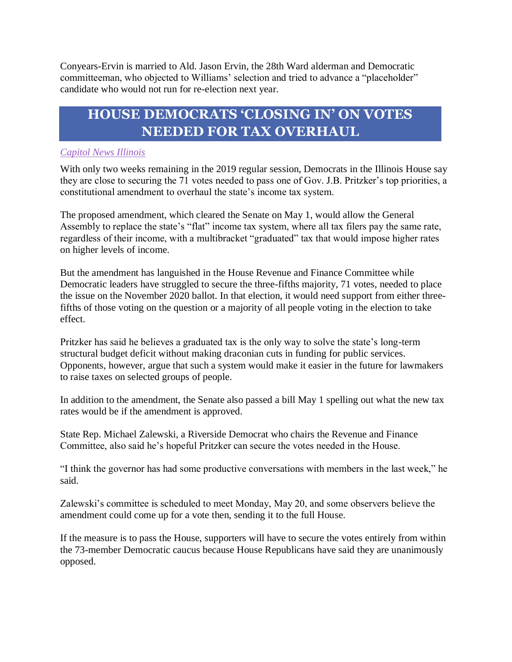Conyears-Ervin is married to Ald. Jason Ervin, the 28th Ward alderman and Democratic committeeman, who objected to Williams' selection and tried to advance a "placeholder" candidate who would not run for re-election next year.

### **HOUSE DEMOCRATS 'CLOSING IN' ON VOTES NEEDED FOR TAX OVERHAUL**

#### *[Capitol News Illinois](https://www.mdjonline.com/neighbor_newspapers/extra/news/house-democrats-closing-in-on-votes-needed-for-illinois-tax/article_05848148-a819-5978-9878-125d18538877.html)*

With only two weeks remaining in the 2019 regular session, Democrats in the Illinois House say they are close to securing the 71 votes needed to pass one of Gov. J.B. Pritzker's top priorities, a constitutional amendment to overhaul the state's income tax system.

The proposed amendment, which cleared the Senate on May 1, would allow the General Assembly to replace the state's "flat" income tax system, where all tax filers pay the same rate, regardless of their income, with a multibracket "graduated" tax that would impose higher rates on higher levels of income.

But the amendment has languished in the House Revenue and Finance Committee while Democratic leaders have struggled to secure the three-fifths majority, 71 votes, needed to place the issue on the November 2020 ballot. In that election, it would need support from either threefifths of those voting on the question or a majority of all people voting in the election to take effect.

Pritzker has said he believes a graduated tax is the only way to solve the state's long-term structural budget deficit without making draconian cuts in funding for public services. Opponents, however, argue that such a system would make it easier in the future for lawmakers to raise taxes on selected groups of people.

In addition to the amendment, the Senate also passed a bill May 1 spelling out what the new tax rates would be if the amendment is approved.

State Rep. Michael Zalewski, a Riverside Democrat who chairs the Revenue and Finance Committee, also said he's hopeful Pritzker can secure the votes needed in the House.

"I think the governor has had some productive conversations with members in the last week," he said.

Zalewski's committee is scheduled to meet Monday, May 20, and some observers believe the amendment could come up for a vote then, sending it to the full House.

If the measure is to pass the House, supporters will have to secure the votes entirely from within the 73-member Democratic caucus because House Republicans have said they are unanimously opposed.